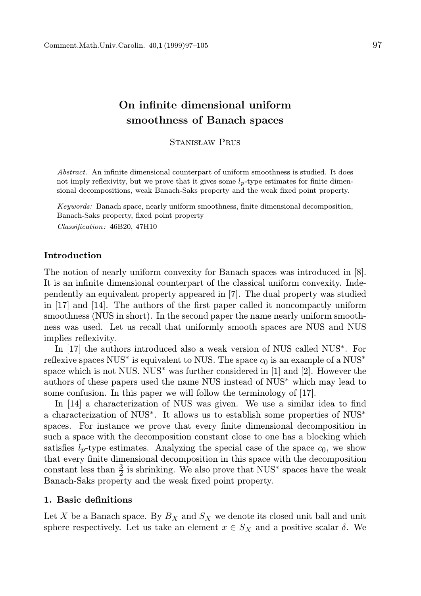# On infinite dimensional uniform smoothness of Banach spaces

STANISŁAW PRUS

Abstract. An infinite dimensional counterpart of uniform smoothness is studied. It does not imply reflexivity, but we prove that it gives some  $l_p$ -type estimates for finite dimensional decompositions, weak Banach-Saks property and the weak fixed point property.

Keywords: Banach space, nearly uniform smoothness, finite dimensional decomposition, Banach-Saks property, fixed point property Classification: 46B20, 47H10

## Introduction

The notion of nearly uniform convexity for Banach spaces was introduced in [8]. It is an infinite dimensional counterpart of the classical uniform convexity. Independently an equivalent property appeared in [7]. The dual property was studied in [17] and [14]. The authors of the first paper called it noncompactly uniform smoothness (NUS in short). In the second paper the name nearly uniform smoothness was used. Let us recall that uniformly smooth spaces are NUS and NUS implies reflexivity.

In [17] the authors introduced also a weak version of NUS called NUS∗ . For reflexive spaces  $\mathrm{NUS}^*$  is equivalent to NUS. The space  $c_0$  is an example of a  $\mathrm{NUS}^*$ space which is not NUS. NUS<sup>∗</sup> was further considered in [1] and [2]. However the authors of these papers used the name NUS instead of NUS∗ which may lead to some confusion. In this paper we will follow the terminology of [17].

In [14] a characterization of NUS was given. We use a similar idea to find a characterization of NUS∗ . It allows us to establish some properties of NUS∗ spaces. For instance we prove that every finite dimensional decomposition in such a space with the decomposition constant close to one has a blocking which satisfies  $l_p$ -type estimates. Analyzing the special case of the space  $c_0$ , we show that every finite dimensional decomposition in this space with the decomposition constant less than  $\frac{3}{2}$  is shrinking. We also prove that NUS<sup>\*</sup> spaces have the weak Banach-Saks property and the weak fixed point property.

# 1. Basic definitions

Let X be a Banach space. By  $B_X$  and  $S_X$  we denote its closed unit ball and unit sphere respectively. Let us take an element  $x \in S_X$  and a positive scalar  $\delta$ . We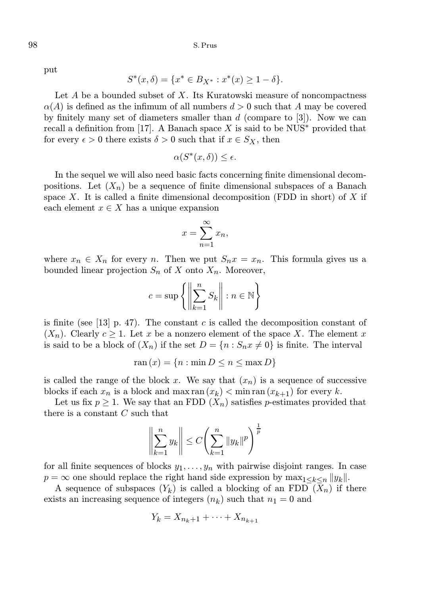put

$$
S^*(x,\delta) = \{x^* \in B_{X^*} : x^*(x) \ge 1 - \delta\}.
$$

Let  $A$  be a bounded subset of  $X$ . Its Kuratowski measure of noncompactness  $\alpha(A)$  is defined as the infimum of all numbers  $d > 0$  such that A may be covered by finitely many set of diameters smaller than  $d$  (compare to [3]). Now we can recall a definition from [17]. A Banach space X is said to be  $NUS^*$  provided that for every  $\epsilon > 0$  there exists  $\delta > 0$  such that if  $x \in S_X$ , then

$$
\alpha(S^*(x,\delta)) \le \epsilon.
$$

In the sequel we will also need basic facts concerning finite dimensional decompositions. Let  $(X_n)$  be a sequence of finite dimensional subspaces of a Banach space X. It is called a finite dimensional decomposition (FDD in short) of  $X$  if each element  $x \in X$  has a unique expansion

$$
x = \sum_{n=1}^{\infty} x_n,
$$

where  $x_n \in X_n$  for every n. Then we put  $S_n x = x_n$ . This formula gives us a bounded linear projection  $S_n$  of X onto  $X_n$ . Moreover,

$$
c = \sup \left\{ \left\| \sum_{k=1}^{n} S_k \right\| : n \in \mathbb{N} \right\}
$$

is finite (see  $[13]$  p. 47). The constant c is called the decomposition constant of  $(X_n)$ . Clearly  $c \geq 1$ . Let x be a nonzero element of the space X. The element x is said to be a block of  $(X_n)$  if the set  $D = \{n : S_n x \neq 0\}$  is finite. The interval

$$
ran(x) = \{n : min D \le n \le max D\}
$$

is called the range of the block x. We say that  $(x_n)$  is a sequence of successive blocks if each  $x_n$  is a block and max ran  $(x_k) < \min \operatorname{ran} (x_{k+1})$  for every k.

Let us fix  $p \geq 1$ . We say that an FDD  $(X_n)$  satisfies p-estimates provided that there is a constant  $C$  such that

$$
\left\| \sum_{k=1}^{n} y_k \right\| \le C \left( \sum_{k=1}^{n} \|y_k\|^p \right)^{\frac{1}{p}}
$$

for all finite sequences of blocks  $y_1, \ldots, y_n$  with pairwise disjoint ranges. In case  $p = \infty$  one should replace the right hand side expression by  $\max_{1 \leq k \leq n} ||y_k||$ .

A sequence of subspaces  $(Y_k)$  is called a blocking of an FDD  $(X_n)$  if there exists an increasing sequence of integers  $(n_k)$  such that  $n_1 = 0$  and

$$
Y_k = X_{n_k+1} + \dots + X_{n_{k+1}}
$$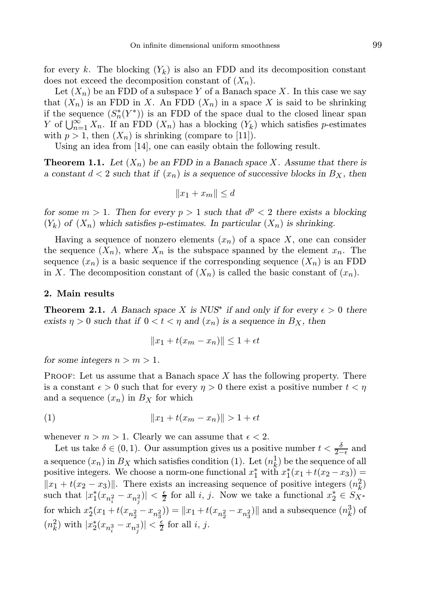for every k. The blocking  $(Y_k)$  is also an FDD and its decomposition constant does not exceed the decomposition constant of  $(X_n)$ .

Let  $(X_n)$  be an FDD of a subspace Y of a Banach space X. In this case we say that  $(X_n)$  is an FDD in X. An FDD  $(X_n)$  in a space X is said to be shrinking if the sequence  $(S_n^*(Y^*))$  is an FDD of the space dual to the closed linear span Y of  $\bigcup_{n=1}^{\infty} X_n$ . If an FDD  $(X_n)$  has a blocking  $(Y_k)$  which satisfies p-estimates with  $p > 1$ , then  $(X_n)$  is shrinking (compare to [11]).

Using an idea from [14], one can easily obtain the following result.

**Theorem 1.1.** Let  $(X_n)$  be an FDD in a Banach space X. Assume that there is a constant  $d < 2$  such that if  $(x_n)$  is a sequence of successive blocks in  $B_X$ , then

$$
||x_1 + x_m|| \le d
$$

for some  $m > 1$ . Then for every  $p > 1$  such that  $d^p < 2$  there exists a blocking  $(Y_k)$  of  $(X_n)$  which satisfies p-estimates. In particular  $(X_n)$  is shrinking.

Having a sequence of nonzero elements  $(x_n)$  of a space X, one can consider the sequence  $(X_n)$ , where  $X_n$  is the subspace spanned by the element  $x_n$ . The sequence  $(x_n)$  is a basic sequence if the corresponding sequence  $(X_n)$  is an FDD in X. The decomposition constant of  $(X_n)$  is called the basic constant of  $(x_n)$ .

### 2. Main results

**Theorem 2.1.** A Banach space X is NUS<sup>\*</sup> if and only if for every  $\epsilon > 0$  there exists  $\eta > 0$  such that if  $0 < t < \eta$  and  $(x_n)$  is a sequence in  $B_X$ , then

$$
||x_1 + t(x_m - x_n)|| \le 1 + \epsilon t
$$

for some integers  $n > m > 1$ .

**PROOF:** Let us assume that a Banach space  $X$  has the following property. There is a constant  $\epsilon > 0$  such that for every  $\eta > 0$  there exist a positive number  $t < \eta$ and a sequence  $(x_n)$  in  $B_X$  for which

(1) 
$$
||x_1 + t(x_m - x_n)|| > 1 + \epsilon t
$$

whenever  $n > m > 1$ . Clearly we can assume that  $\epsilon < 2$ .

Let us take  $\delta \in (0, 1)$ . Our assumption gives us a positive number  $t < \frac{\delta}{2-\epsilon}$  and a sequence  $(x_n)$  in  $B_X$  which satisfies condition (1). Let  $(n_k^1)$  be the sequence of all positive integers. We choose a norm-one functional  $x_1^*$  with  $x_1^*(x_1 + t(x_2 - x_3)) =$  $||x_1 + t(x_2 - x_3)||$ . There exists an increasing sequence of positive integers  $(n_k^2)$ such that  $|x_1^*(x_{n_i^2} - x_{n_j^2})| < \frac{\epsilon}{2}$  for all i, j. Now we take a functional  $x_2^* \in S_{X^*}$ for which  $x_2^*(x_1+t(x_{n_2^2}-x_{n_3^2})) = ||x_1+t(x_{n_2^2}-x_{n_3^2})||$  and a subsequence  $(n_k^3)$  of  $(n_k^2)$  with  $|x_2^*(x_{n_i^3} - x_{n_j^3})| < \frac{\epsilon}{2}$  for all *i*, *j*.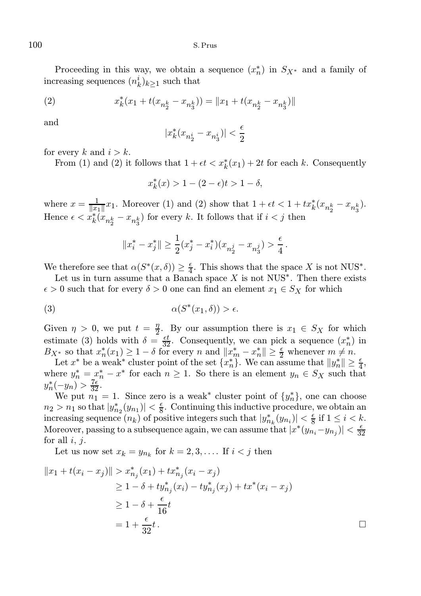Proceeding in this way, we obtain a sequence  $(x_n^*)$  in  $S_{X^*}$  and a family of increasing sequences  $(n_k^i)_{k \geq 1}$  such that

(2) 
$$
x_k^*(x_1 + t(x_{n_2^k} - x_{n_3^k})) = ||x_1 + t(x_{n_2^k} - x_{n_3^k})||
$$

and

$$
|x_k^*(x_{n_2^i}-x_{n_3^i})|<\frac{\epsilon}{2}
$$

for every k and  $i > k$ .

From (1) and (2) it follows that  $1 + \epsilon t < x_k^*(x_1) + 2t$  for each k. Consequently

 $x_k^*(x) > 1 - (2 - \epsilon)t > 1 - \delta,$ 

where  $x = \frac{1}{\|x_1\|}x_1$ . Moreover (1) and (2) show that  $1 + \epsilon t < 1 + tx_k^*(x_{n_2^k} - x_{n_3^k})$ . Hence  $\epsilon < x_k^*(x_{n_2^k} - x_{n_3^k})$  for every k. It follows that if  $i < j$  then

$$
||x_i^*-x_j^*||\geq \frac{1}{2}(x_j^*-x_i^*)(x_{n_2^j}-x_{n_3^j})>\frac{\epsilon}{4}\,.
$$

We therefore see that  $\alpha(S^*(x, \delta)) \geq \frac{\epsilon}{4}$ . This shows that the space X is not NUS<sup>\*</sup>.

Let us in turn assume that a Banach space  $X$  is not NUS<sup>\*</sup>. Then there exists  $\epsilon > 0$  such that for every  $\delta > 0$  one can find an element  $x_1 \in S_X$  for which

$$
\alpha(S^*(x_1, \delta)) > \epsilon.
$$

Given  $\eta > 0$ , we put  $t = \frac{\eta}{2}$  $\frac{\eta}{2}$ . By our assumption there is  $x_1 \in S_X$  for which estimate (3) holds with  $\delta = \frac{\epsilon t}{32}$ . Consequently, we can pick a sequence  $(x_n^*)$  in  $B_{X^*}$  so that  $x_n^*(x_1) \geq 1-\delta$  for every n and  $||x_m^* - x_n^*|| \geq \frac{\epsilon}{2}$  whenever  $m \neq n$ .

Let  $x^*$  be a weak<sup>\*</sup> cluster point of the set  $\{x_n^*\}$ . We can assume that  $||y_n^*|| \ge \frac{\epsilon}{4}$ , where  $y_n^* = x_n^* - x^*$  for each  $n \geq 1$ . So there is an element  $y_n \in S_X$  such that  $y_n^*(-y_n) > \frac{7\epsilon}{32}.$ 

We put  $n_1 = 1$ . Since zero is a weak<sup>\*</sup> cluster point of  $\{y_n^*\}$ , one can choose  $n_2 > n_1$  so that  $|y_{n_2}^*(y_{n_1})| < \frac{\epsilon}{8}$ . Continuing this inductive procedure, we obtain an increasing sequence  $(n_k)$  of positive integers such that  $|y^*_{n_k}(y_{n_i})| < \frac{\epsilon}{8}$  if  $1 \leq i < k$ . Moreover, passing to a subsequence again, we can assume that  $|x^*(y_{n_i}-y_{n_j})| < \frac{\epsilon}{32}$ for all  $i, j$ .

Let us now set  $x_k = y_{n_k}$  for  $k = 2, 3, \ldots$ . If  $i < j$  then

$$
||x_1 + t(x_i - x_j)|| > x_{n_j}^*(x_1) + tx_{n_j}^*(x_i - x_j)
$$
  
\n
$$
\ge 1 - \delta + ty_{n_j}^*(x_i) - ty_{n_j}^*(x_j) + tx^*(x_i - x_j)
$$
  
\n
$$
\ge 1 - \delta + \frac{\epsilon}{16}t
$$
  
\n
$$
= 1 + \frac{\epsilon}{32}t.
$$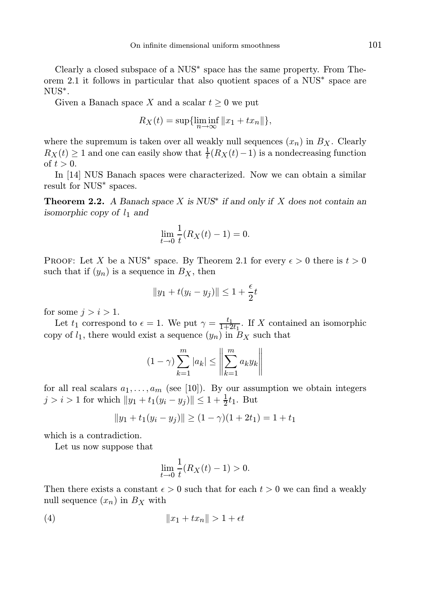Clearly a closed subspace of a NUS∗ space has the same property. From Theorem 2.1 it follows in particular that also quotient spaces of a NUS∗ space are NUS∗ .

Given a Banach space X and a scalar  $t \geq 0$  we put

$$
R_X(t) = \sup\{\liminf_{n \to \infty} ||x_1 + tx_n||\},\
$$

where the supremum is taken over all weakly null sequences  $(x_n)$  in  $B_X$ . Clearly  $R_X(t) \ge 1$  and one can easily show that  $\frac{1}{t}(R_X(t)-1)$  is a nondecreasing function of  $t > 0$ .

In [14] NUS Banach spaces were characterized. Now we can obtain a similar result for NUS∗ spaces.

**Theorem 2.2.** A Banach space X is  $NUS^*$  if and only if X does not contain an isomorphic copy of  $l_1$  and

$$
\lim_{t \to 0} \frac{1}{t} (R_X(t) - 1) = 0.
$$

PROOF: Let X be a NUS<sup>\*</sup> space. By Theorem 2.1 for every  $\epsilon > 0$  there is  $t > 0$ such that if  $(y_n)$  is a sequence in  $B_X$ , then

$$
||y_1 + t(y_i - y_j)|| \le 1 + \frac{\epsilon}{2}t
$$

for some  $j > i > 1$ .

Let  $t_1$  correspond to  $\epsilon = 1$ . We put  $\gamma = \frac{t_1}{1+2t_1}$ . If X contained an isomorphic copy of  $l_1$ , there would exist a sequence  $(y_n)$  in  $B_X$  such that

$$
(1 - \gamma) \sum_{k=1}^{m} |a_k| \le \left\| \sum_{k=1}^{m} a_k y_k \right\|
$$

for all real scalars  $a_1, \ldots, a_m$  (see [10]). By our assumption we obtain integers  $j > i > 1$  for which  $||y_1 + t_1(y_i - y_j)|| \leq 1 + \frac{1}{2}t_1$ . But

$$
||y_1 + t_1(y_i - y_j)|| \ge (1 - \gamma)(1 + 2t_1) = 1 + t_1
$$

which is a contradiction.

Let us now suppose that

$$
\lim_{t \to 0} \frac{1}{t} (R_X(t) - 1) > 0.
$$

Then there exists a constant  $\epsilon > 0$  such that for each  $t > 0$  we can find a weakly null sequence  $(x_n)$  in  $B_X$  with

$$
(4) \t\t\t\t\t||x_1+tx_n||>1+\epsilon t
$$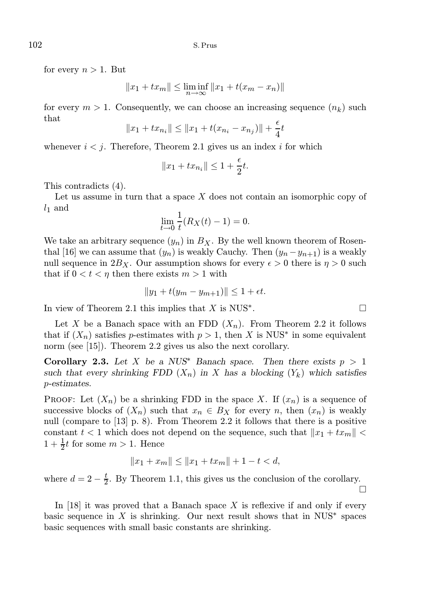for every  $n > 1$ . But

$$
||x_1 + tx_m|| \le \liminf_{n \to \infty} ||x_1 + t(x_m - x_n)||
$$

for every  $m > 1$ . Consequently, we can choose an increasing sequence  $(n_k)$  such that

$$
||x_1 + tx_{n_i}|| \le ||x_1 + t(x_{n_i} - x_{n_j})|| + \frac{\epsilon}{4}t
$$

whenever  $i < j$ . Therefore, Theorem 2.1 gives us an index i for which

$$
||x_1+tx_{n_i}|| \leq 1+\frac{\epsilon}{2}t.
$$

This contradicts (4).

Let us assume in turn that a space  $X$  does not contain an isomorphic copy of  $l_1$  and

$$
\lim_{t \to 0} \frac{1}{t} (R_X(t) - 1) = 0.
$$

We take an arbitrary sequence  $(y_n)$  in  $B_X$ . By the well known theorem of Rosenthal [16] we can assume that  $(y_n)$  is weakly Cauchy. Then  $(y_n - y_{n+1})$  is a weakly null sequence in  $2B_X$ . Our assumption shows for every  $\epsilon > 0$  there is  $\eta > 0$  such that if  $0 < t < \eta$  then there exists  $m > 1$  with

$$
||y_1 + t(y_m - y_{m+1})|| \le 1 + \epsilon t.
$$

In view of Theorem 2.1 this implies that  $X$  is NUS<sup>\*</sup>.

Let X be a Banach space with an FDD  $(X_n)$ . From Theorem 2.2 it follows that if  $(X_n)$  satisfies p-estimates with  $p > 1$ , then X is NUS<sup>\*</sup> in some equivalent norm (see [15]). Theorem 2.2 gives us also the next corollary.

**Corollary 2.3.** Let X be a NUS<sup>\*</sup> Banach space. Then there exists  $p > 1$ such that every shrinking FDD  $(X_n)$  in X has a blocking  $(Y_k)$  which satisfies p-estimates.

**PROOF:** Let  $(X_n)$  be a shrinking FDD in the space X. If  $(x_n)$  is a sequence of successive blocks of  $(X_n)$  such that  $x_n \in B_X$  for every n, then  $(x_n)$  is weakly null (compare to [13] p. 8). From Theorem 2.2 it follows that there is a positive constant  $t < 1$  which does not depend on the sequence, such that  $||x_1 + tx_m||$  $1 + \frac{1}{2}t$  for some  $m > 1$ . Hence

$$
||x_1 + x_m|| \le ||x_1 + tx_m|| + 1 - t < d,
$$

where  $d = 2 - \frac{t}{2}$ . By Theorem 1.1, this gives us the conclusion of the corollary.  $\Box$ 

In  $[18]$  it was proved that a Banach space X is reflexive if and only if every basic sequence in X is shrinking. Our next result shows that in  $NUS^*$  spaces basic sequences with small basic constants are shrinking.

$$
^{102}
$$

. — Процессиональные производствование и производствование и производствование и производствование и производс<br>В 1990 году в 1990 году в 1990 году в 1990 году в 1990 году в 1990 году в 1990 году в 1990 году в 1990 году в<br>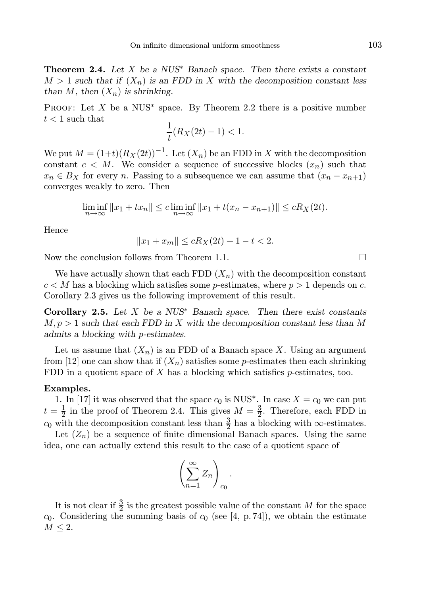**Theorem 2.4.** Let X be a  $NUS^*$  Banach space. Then there exists a constant  $M > 1$  such that if  $(X_n)$  is an FDD in X with the decomposition constant less than M, then  $(X_n)$  is shrinking.

PROOF: Let  $X$  be a NUS<sup>\*</sup> space. By Theorem 2.2 there is a positive number  $t < 1$  such that

$$
\frac{1}{t}(R_X(2t) - 1) < 1.
$$

We put  $M = (1+t)(R_X(2t))^{-1}$ . Let  $(X_n)$  be an FDD in X with the decomposition constant  $c < M$ . We consider a sequence of successive blocks  $(x_n)$  such that  $x_n \in B_X$  for every n. Passing to a subsequence we can assume that  $(x_n - x_{n+1})$ converges weakly to zero. Then

$$
\liminf_{n \to \infty} ||x_1 + tx_n|| \le c \liminf_{n \to \infty} ||x_1 + t(x_n - x_{n+1})|| \le cR_X(2t).
$$

Hence

$$
||x_1 + x_m|| \le cR_X(2t) + 1 - t < 2.
$$

Now the conclusion follows from Theorem 1.1.

We have actually shown that each FDD  $(X_n)$  with the decomposition constant  $c < M$  has a blocking which satisfies some p-estimates, where  $p > 1$  depends on c. Corollary 2.3 gives us the following improvement of this result.

Corollary 2.5. Let X be a  $NUS^*$  Banach space. Then there exist constants  $M, p > 1$  such that each FDD in X with the decomposition constant less than M admits a blocking with p-estimates.

Let us assume that  $(X_n)$  is an FDD of a Banach space X. Using an argument from [12] one can show that if  $(X_n)$  satisfies some p-estimates then each shrinking FDD in a quotient space of  $X$  has a blocking which satisfies  $p$ -estimates, too.

#### Examples.

1. In [17] it was observed that the space  $c_0$  is NUS<sup>\*</sup>. In case  $X = c_0$  we can put  $t = \frac{1}{2}$  in the proof of Theorem 2.4. This gives  $M = \frac{3}{2}$ . Therefore, each FDD in c<sub>0</sub> with the decomposition constant less than  $\frac{3}{2}$  has a blocking with  $\infty$ -estimates.

Let  $(Z_n)$  be a sequence of finite dimensional Banach spaces. Using the same idea, one can actually extend this result to the case of a quotient space of

$$
\left(\sum_{n=1}^{\infty}Z_n\right)_{c_0}.
$$

It is not clear if  $\frac{3}{2}$  is the greatest possible value of the constant M for the space  $c_0$ . Considering the summing basis of  $c_0$  (see [4, p. 74]), we obtain the estimate  $M \leq 2$ .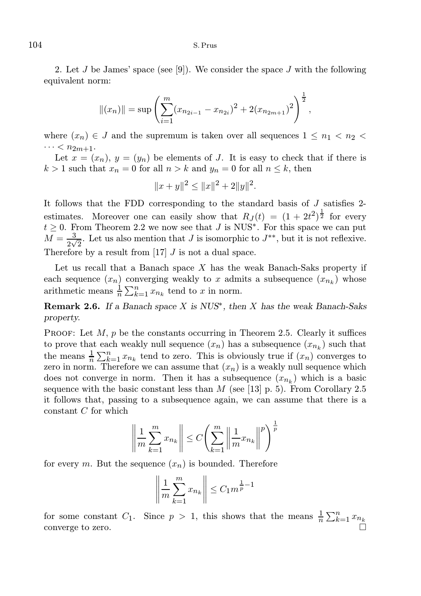2. Let  $J$  be James' space (see [9]). We consider the space  $J$  with the following equivalent norm:

$$
||(x_n)|| = \sup \left( \sum_{i=1}^m (x_{n_{2i-1}} - x_{n_{2i}})^2 + 2(x_{n_{2m+1}})^2 \right)^{\frac{1}{2}},
$$

where  $(x_n) \in J$  and the supremum is taken over all sequences  $1 \leq n_1 < n_2$  $\cdots < n_{2m+1}.$ 

Let  $x = (x_n)$ ,  $y = (y_n)$  be elements of J. It is easy to check that if there is  $k > 1$  such that  $x_n = 0$  for all  $n > k$  and  $y_n = 0$  for all  $n \leq k$ , then

$$
||x+y||^2 \le ||x||^2 + 2||y||^2.
$$

It follows that the FDD corresponding to the standard basis of J satisfies 2 estimates. Moreover one can easily show that  $R_J(t) = (1 + 2t^2)^{\frac{1}{2}}$  for every  $t \geq 0$ . From Theorem 2.2 we now see that J is NUS<sup>\*</sup>. For this space we can put  $M=\frac{3}{2}$  $\frac{3}{2\sqrt{2}}$ . Let us also mention that J is isomorphic to  $J^{**}$ , but it is not reflexive. Therefore by a result from  $[17]$  J is not a dual space.

Let us recall that a Banach space  $X$  has the weak Banach-Saks property if each sequence  $(x_n)$  converging weakly to x admits a subsequence  $(x_{n_k})$  whose arithmetic means  $\frac{1}{n} \sum_{k=1}^{n} x_{n_k}$  tend to x in norm.

**Remark 2.6.** If a Banach space X is  $NUS^*$ , then X has the weak Banach-Saks property.

**PROOF:** Let  $M$ ,  $p$  be the constants occurring in Theorem 2.5. Clearly it suffices to prove that each weakly null sequence  $(x_n)$  has a subsequence  $(x_{n_k})$  such that the means  $\frac{1}{n} \sum_{k=1}^n x_{n_k}$  tend to zero. This is obviously true if  $(x_n)$  converges to zero in norm. Therefore we can assume that  $(x_n)$  is a weakly null sequence which does not converge in norm. Then it has a subsequence  $(x_{n_k})$  which is a basic sequence with the basic constant less than  $M$  (see [13] p. 5). From Corollary 2.5 it follows that, passing to a subsequence again, we can assume that there is a constant  $C$  for which

$$
\left\| \frac{1}{m} \sum_{k=1}^{m} x_{n_k} \right\| \le C \left( \sum_{k=1}^{m} \left\| \frac{1}{m} x_{n_k} \right\|^p \right)^{\frac{1}{p}}
$$

for every m. But the sequence  $(x_n)$  is bounded. Therefore

$$
\left\| \frac{1}{m} \sum_{k=1}^{m} x_{n_k} \right\| \le C_1 m^{\frac{1}{p}-1}
$$

for some constant  $C_1$ . Since  $p > 1$ , this shows that the means  $\frac{1}{n} \sum_{k=1}^{n} x_{n_k}$ converge to zero.